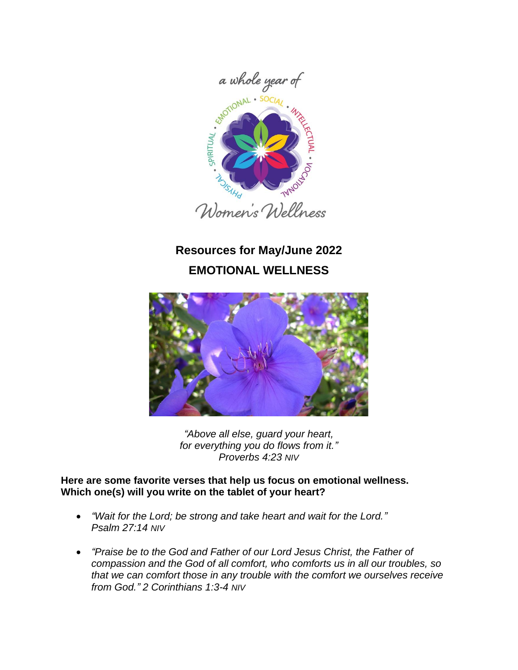

# **Resources for May/June 2022 EMOTIONAL WELLNESS**



*"Above all else, guard your heart, for everything you do flows from it." Proverbs 4:23 NIV*

## **Here are some favorite verses that help us focus on emotional wellness. Which one(s) will you write on the tablet of your heart?**

- *"Wait for the Lord; be strong and take heart and wait for the Lord." Psalm 27:14 NIV*
- *"Praise be to the God and Father of our Lord Jesus Christ, the Father of compassion and the God of all comfort, who comforts us in all our troubles, so that we can comfort those in any trouble with the comfort we ourselves receive from God." 2 Corinthians 1:3-4 NIV*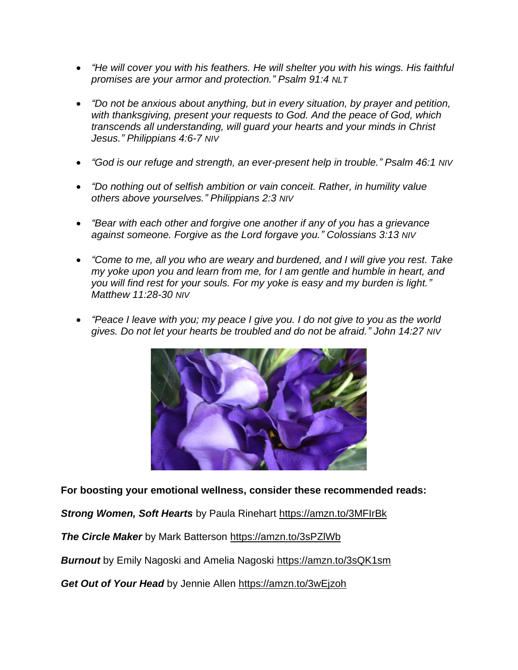- *"He will cover you with his feathers. He will shelter you with his wings. His faithful promises are your armor and protection." Psalm 91:4 NLT*
- *"Do not be anxious about anything, but in every situation, by prayer and petition, with thanksgiving, present your requests to God. And the peace of God, which transcends all understanding, will guard your hearts and your minds in Christ Jesus." Philippians 4:6-7 NIV*
- *"God is our refuge and strength, an ever-present help in trouble." Psalm 46:1 NIV*
- *"Do nothing out of selfish ambition or vain conceit. Rather, in humility value others above yourselves." Philippians 2:3 NIV*
- *"Bear with each other and forgive one another if any of you has a grievance against someone. Forgive as the Lord forgave you." Colossians 3:13 NIV*
- *"Come to me, all you who are weary and burdened, and I will give you rest. Take my yoke upon you and learn from me, for I am gentle and humble in heart, and you will find rest for your souls. For my yoke is easy and my burden is light." Matthew 11:28-30 NIV*
- *"Peace I leave with you; my peace I give you. I do not give to you as the world gives. Do not let your hearts be troubled and do not be afraid." John 14:27 NIV*



**For boosting your emotional wellness, consider these recommended reads:**

*Strong Women, Soft Hearts* by Paula Rinehart<https://amzn.to/3MFIrBk>

*The Circle Maker* by Mark Batterson <https://amzn.to/3sPZlWb>

**Burnout** by Emily Nagoski and Amelia Nagoski <https://amzn.to/3sQK1sm>

*Get Out of Your Head* by Jennie Allen <https://amzn.to/3wEjzoh>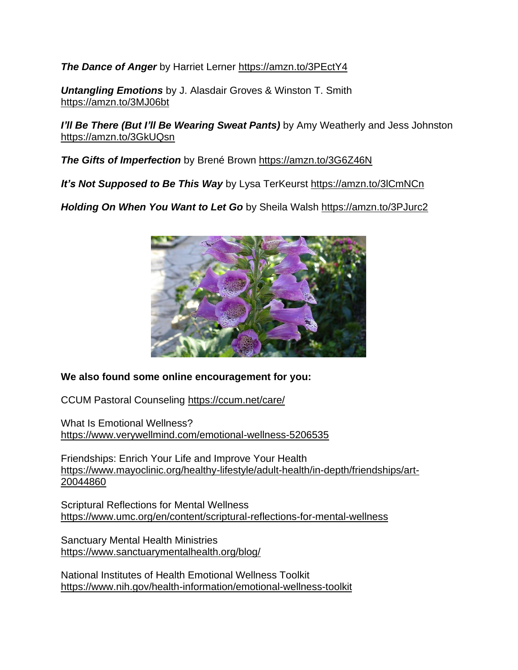*The Dance of Anger* by Harriet Lerner <https://amzn.to/3PEctY4>

*Untangling Emotions* by J. Alasdair Groves & Winston T. Smith <https://amzn.to/3MJ06bt>

*I'll Be There (But I'll Be Wearing Sweat Pants)* **by Amy Weatherly and Jess Johnston** <https://amzn.to/3GkUQsn>

*The Gifts of Imperfection* by Brené Brown <https://amzn.to/3G6Z46N>

*It's Not Supposed to Be This Way* by Lysa TerKeurst <https://amzn.to/3lCmNCn>

*Holding On When You Want to Let Go* by Sheila Walsh <https://amzn.to/3PJurc2>



## **We also found some online encouragement for you:**

CCUM Pastoral Counseling<https://ccum.net/care/>

What Is Emotional Wellness? <https://www.verywellmind.com/emotional-wellness-5206535>

Friendships: Enrich Your Life and Improve Your Health [https://www.mayoclinic.org/healthy-lifestyle/adult-health/in-depth/friendships/art-](https://www.mayoclinic.org/healthy-lifestyle/adult-health/in-depth/friendships/art-20044860)[20044860](https://www.mayoclinic.org/healthy-lifestyle/adult-health/in-depth/friendships/art-20044860)

Scriptural Reflections for Mental Wellness <https://www.umc.org/en/content/scriptural-reflections-for-mental-wellness>

Sanctuary Mental Health Ministries <https://www.sanctuarymentalhealth.org/blog/>

National Institutes of Health Emotional Wellness Toolkit <https://www.nih.gov/health-information/emotional-wellness-toolkit>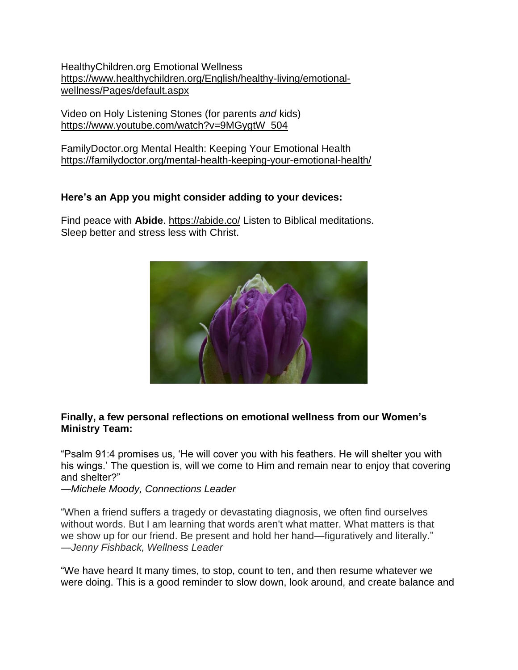HealthyChildren.org Emotional Wellness [https://www.healthychildren.org/English/healthy-living/emotional](https://www.healthychildren.org/English/healthy-living/emotional-wellness/Pages/default.aspx)[wellness/Pages/default.aspx](https://www.healthychildren.org/English/healthy-living/emotional-wellness/Pages/default.aspx)

Video on Holy Listening Stones (for parents *and* kids) [https://www.youtube.com/watch?v=9MGygtW\\_504](https://www.youtube.com/watch?v=9MGygtW_504)

FamilyDoctor.org Mental Health: Keeping Your Emotional Health <https://familydoctor.org/mental-health-keeping-your-emotional-health/>

### **Here's an App you might consider adding to your devices:**

Find peace with **Abide**.<https://abide.co/> Listen to Biblical meditations. Sleep better and stress less with Christ.



### **Finally, a few personal reflections on emotional wellness from our Women's Ministry Team:**

"Psalm 91:4 promises us, 'He will cover you with his feathers. He will shelter you with his wings.' The question is, will we come to Him and remain near to enjoy that covering and shelter?"

—*Michele Moody, Connections Leader*

"When a friend suffers a tragedy or devastating diagnosis, we often find ourselves without words. But I am learning that words aren't what matter. What matters is that we show up for our friend. Be present and hold her hand—figuratively and literally." —*Jenny Fishback, Wellness Leader*

"We have heard It many times, to stop, count to ten, and then resume whatever we were doing. This is a good reminder to slow down, look around, and create balance and